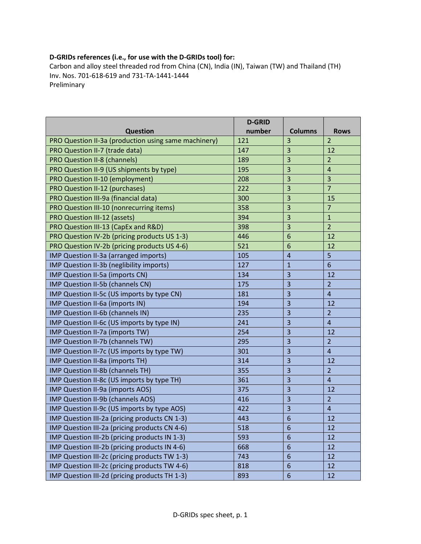## D-GRIDs references (i.e., for use with the D-GRIDs tool) for:

Carbon and alloy steel threaded rod from China (CN), India (IN), Taiwan (TW) and Thailand (TH) Inv. Nos. 701-618-619 and 731-TA-1441-1444 Preliminary

|                                                      | <b>D-GRID</b> |                         |                 |
|------------------------------------------------------|---------------|-------------------------|-----------------|
| <b>Question</b>                                      | number        | <b>Columns</b>          | <b>Rows</b>     |
| PRO Question II-3a (production using same machinery) | 121           | 3                       | $\overline{2}$  |
| PRO Question II-7 (trade data)                       | 147           | 3                       | 12              |
| <b>PRO Question II-8 (channels)</b>                  | 189           | 3                       | $\overline{2}$  |
| PRO Question II-9 (US shipments by type)             | 195           | 3                       | $\overline{4}$  |
| PRO Question II-10 (employment)                      | 208           | 3                       | 3               |
| PRO Question II-12 (purchases)                       | 222           | 3                       | $\overline{7}$  |
| PRO Question III-9a (financial data)                 | 300           | 3                       | 15              |
| PRO Question III-10 (nonrecurring items)             | 358           | 3                       | $\overline{7}$  |
| <b>PRO Question III-12 (assets)</b>                  | 394           | 3                       | $\mathbf{1}$    |
| PRO Question III-13 (CapEx and R&D)                  | 398           | 3                       | $\overline{2}$  |
| PRO Question IV-2b (pricing products US 1-3)         | 446           | 6                       | 12              |
| PRO Question IV-2b (pricing products US 4-6)         | 521           | 6                       | 12              |
| IMP Question II-3a (arranged imports)                | 105           | $\overline{4}$          | 5               |
| IMP Question II-3b (neglibility imports)             | 127           | $\mathbf{1}$            | $6\phantom{1}6$ |
| IMP Question II-5a (imports CN)                      | 134           | 3                       | 12              |
| IMP Question II-5b (channels CN)                     | 175           | 3                       | $\overline{2}$  |
| IMP Question II-5c (US imports by type CN)           | 181           | 3                       | $\overline{4}$  |
| IMP Question II-6a (imports IN)                      | 194           | 3                       | 12              |
| IMP Question II-6b (channels IN)                     | 235           | $\overline{3}$          | $\overline{2}$  |
| IMP Question II-6c (US imports by type IN)           | 241           | 3                       | $\overline{4}$  |
| IMP Question II-7a (imports TW)                      | 254           | 3                       | 12              |
| IMP Question II-7b (channels TW)                     | 295           | 3                       | $\overline{2}$  |
| IMP Question II-7c (US imports by type TW)           | 301           | 3                       | $\overline{4}$  |
| IMP Question II-8a (imports TH)                      | 314           | 3                       | 12              |
| IMP Question II-8b (channels TH)                     | 355           | 3                       | $\overline{2}$  |
| IMP Question II-8c (US imports by type TH)           | 361           | $\overline{\mathbf{3}}$ | $\overline{4}$  |
| IMP Question II-9a (imports AOS)                     | 375           | 3                       | 12              |
| IMP Question II-9b (channels AOS)                    | 416           | 3                       | $\overline{2}$  |
| IMP Question II-9c (US imports by type AOS)          | 422           | 3                       | $\overline{4}$  |
| IMP Question III-2a (pricing products CN 1-3)        | 443           | 6                       | 12              |
| IMP Question III-2a (pricing products CN 4-6)        | 518           | 6                       | 12              |
| IMP Question III-2b (pricing products IN 1-3)        | 593           | 6                       | 12              |
| IMP Question III-2b (pricing products IN 4-6)        | 668           | 6                       | 12              |
| IMP Question III-2c (pricing products TW 1-3)        | 743           | 6                       | 12              |
| IMP Question III-2c (pricing products TW 4-6)        | 818           | 6                       | 12              |
| IMP Question III-2d (pricing products TH 1-3)        | 893           | $\boldsymbol{6}$        | 12              |